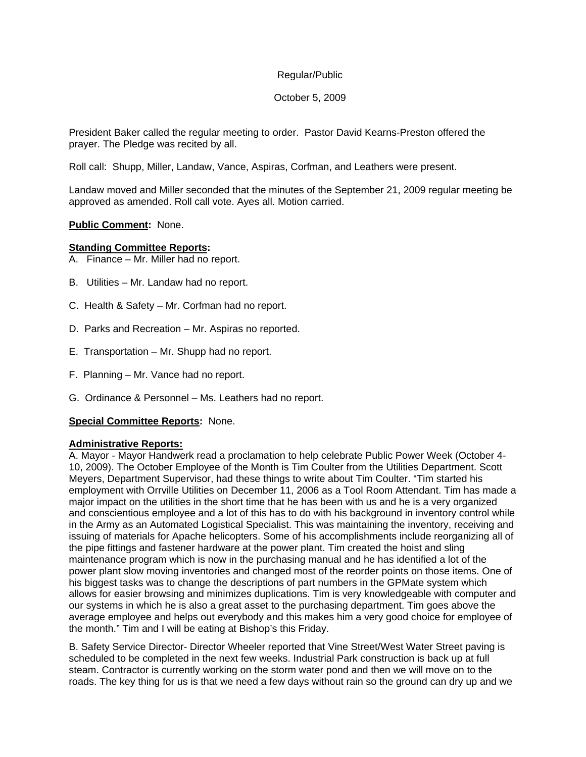### October 5, 2009

President Baker called the regular meeting to order. Pastor David Kearns-Preston offered the prayer. The Pledge was recited by all.

Roll call: Shupp, Miller, Landaw, Vance, Aspiras, Corfman, and Leathers were present.

Landaw moved and Miller seconded that the minutes of the September 21, 2009 regular meeting be approved as amended. Roll call vote. Ayes all. Motion carried.

#### **Public Comment:** None.

#### **Standing Committee Reports:**

- A. Finance Mr. Miller had no report.
- B. Utilities Mr. Landaw had no report.
- C. Health & Safety Mr. Corfman had no report.
- D. Parks and Recreation Mr. Aspiras no reported.
- E. Transportation Mr. Shupp had no report.
- F. Planning Mr. Vance had no report.
- G. Ordinance & Personnel Ms. Leathers had no report.

#### **Special Committee Reports:** None.

#### **Administrative Reports:**

A. Mayor - Mayor Handwerk read a proclamation to help celebrate Public Power Week (October 4- 10, 2009). The October Employee of the Month is Tim Coulter from the Utilities Department. Scott Meyers, Department Supervisor, had these things to write about Tim Coulter. "Tim started his employment with Orrville Utilities on December 11, 2006 as a Tool Room Attendant. Tim has made a major impact on the utilities in the short time that he has been with us and he is a very organized and conscientious employee and a lot of this has to do with his background in inventory control while in the Army as an Automated Logistical Specialist. This was maintaining the inventory, receiving and issuing of materials for Apache helicopters. Some of his accomplishments include reorganizing all of the pipe fittings and fastener hardware at the power plant. Tim created the hoist and sling maintenance program which is now in the purchasing manual and he has identified a lot of the power plant slow moving inventories and changed most of the reorder points on those items. One of his biggest tasks was to change the descriptions of part numbers in the GPMate system which allows for easier browsing and minimizes duplications. Tim is very knowledgeable with computer and our systems in which he is also a great asset to the purchasing department. Tim goes above the average employee and helps out everybody and this makes him a very good choice for employee of the month." Tim and I will be eating at Bishop's this Friday.

B. Safety Service Director- Director Wheeler reported that Vine Street/West Water Street paving is scheduled to be completed in the next few weeks. Industrial Park construction is back up at full steam. Contractor is currently working on the storm water pond and then we will move on to the roads. The key thing for us is that we need a few days without rain so the ground can dry up and we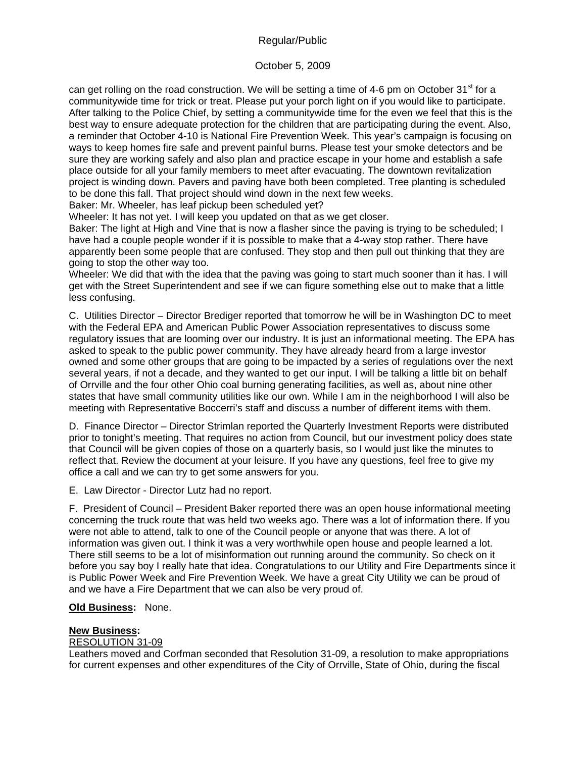# October 5, 2009

can get rolling on the road construction. We will be setting a time of 4-6 pm on October  $31<sup>st</sup>$  for a communitywide time for trick or treat. Please put your porch light on if you would like to participate. After talking to the Police Chief, by setting a communitywide time for the even we feel that this is the best way to ensure adequate protection for the children that are participating during the event. Also, a reminder that October 4-10 is National Fire Prevention Week. This year's campaign is focusing on ways to keep homes fire safe and prevent painful burns. Please test your smoke detectors and be sure they are working safely and also plan and practice escape in your home and establish a safe place outside for all your family members to meet after evacuating. The downtown revitalization project is winding down. Pavers and paving have both been completed. Tree planting is scheduled to be done this fall. That project should wind down in the next few weeks.

Baker: Mr. Wheeler, has leaf pickup been scheduled yet?

Wheeler: It has not yet. I will keep you updated on that as we get closer.

Baker: The light at High and Vine that is now a flasher since the paving is trying to be scheduled; I have had a couple people wonder if it is possible to make that a 4-way stop rather. There have apparently been some people that are confused. They stop and then pull out thinking that they are going to stop the other way too.

Wheeler: We did that with the idea that the paving was going to start much sooner than it has. I will get with the Street Superintendent and see if we can figure something else out to make that a little less confusing.

C. Utilities Director – Director Brediger reported that tomorrow he will be in Washington DC to meet with the Federal EPA and American Public Power Association representatives to discuss some regulatory issues that are looming over our industry. It is just an informational meeting. The EPA has asked to speak to the public power community. They have already heard from a large investor owned and some other groups that are going to be impacted by a series of regulations over the next several years, if not a decade, and they wanted to get our input. I will be talking a little bit on behalf of Orrville and the four other Ohio coal burning generating facilities, as well as, about nine other states that have small community utilities like our own. While I am in the neighborhood I will also be meeting with Representative Boccerri's staff and discuss a number of different items with them.

D. Finance Director – Director Strimlan reported the Quarterly Investment Reports were distributed prior to tonight's meeting. That requires no action from Council, but our investment policy does state that Council will be given copies of those on a quarterly basis, so I would just like the minutes to reflect that. Review the document at your leisure. If you have any questions, feel free to give my office a call and we can try to get some answers for you.

E. Law Director - Director Lutz had no report.

F. President of Council – President Baker reported there was an open house informational meeting concerning the truck route that was held two weeks ago. There was a lot of information there. If you were not able to attend, talk to one of the Council people or anyone that was there. A lot of information was given out. I think it was a very worthwhile open house and people learned a lot. There still seems to be a lot of misinformation out running around the community. So check on it before you say boy I really hate that idea. Congratulations to our Utility and Fire Departments since it is Public Power Week and Fire Prevention Week. We have a great City Utility we can be proud of and we have a Fire Department that we can also be very proud of.

## **Old Business:** None.

# **New Business:**

# RESOLUTION 31-09

Leathers moved and Corfman seconded that Resolution 31-09, a resolution to make appropriations for current expenses and other expenditures of the City of Orrville, State of Ohio, during the fiscal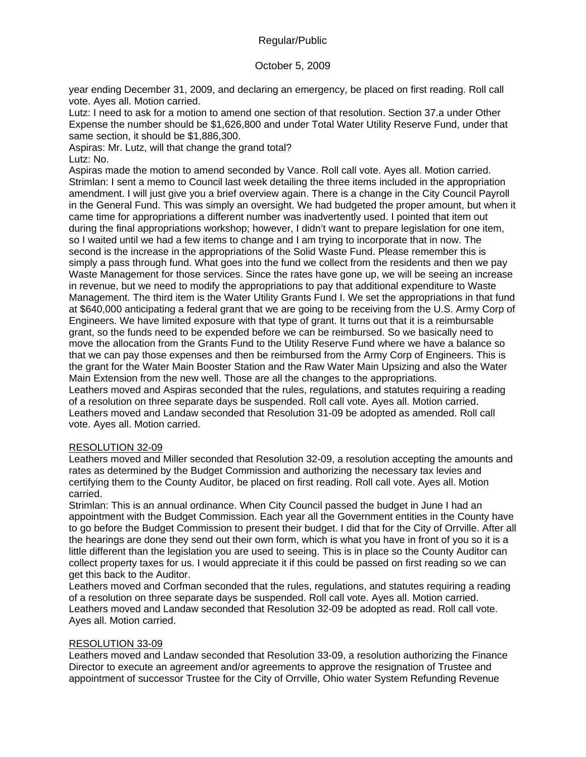# October 5, 2009

year ending December 31, 2009, and declaring an emergency, be placed on first reading. Roll call vote. Ayes all. Motion carried.

Lutz: I need to ask for a motion to amend one section of that resolution. Section 37.a under Other Expense the number should be \$1,626,800 and under Total Water Utility Reserve Fund, under that same section, it should be \$1,886,300.

Aspiras: Mr. Lutz, will that change the grand total? Lutz: No.

Aspiras made the motion to amend seconded by Vance. Roll call vote. Ayes all. Motion carried. Strimlan: I sent a memo to Council last week detailing the three items included in the appropriation amendment. I will just give you a brief overview again. There is a change in the City Council Payroll in the General Fund. This was simply an oversight. We had budgeted the proper amount, but when it came time for appropriations a different number was inadvertently used. I pointed that item out during the final appropriations workshop; however, I didn't want to prepare legislation for one item, so I waited until we had a few items to change and I am trying to incorporate that in now. The second is the increase in the appropriations of the Solid Waste Fund. Please remember this is simply a pass through fund. What goes into the fund we collect from the residents and then we pay Waste Management for those services. Since the rates have gone up, we will be seeing an increase in revenue, but we need to modify the appropriations to pay that additional expenditure to Waste Management. The third item is the Water Utility Grants Fund I. We set the appropriations in that fund at \$640,000 anticipating a federal grant that we are going to be receiving from the U.S. Army Corp of Engineers. We have limited exposure with that type of grant. It turns out that it is a reimbursable grant, so the funds need to be expended before we can be reimbursed. So we basically need to move the allocation from the Grants Fund to the Utility Reserve Fund where we have a balance so that we can pay those expenses and then be reimbursed from the Army Corp of Engineers. This is the grant for the Water Main Booster Station and the Raw Water Main Upsizing and also the Water Main Extension from the new well. Those are all the changes to the appropriations. Leathers moved and Aspiras seconded that the rules, regulations, and statutes requiring a reading of a resolution on three separate days be suspended. Roll call vote. Ayes all. Motion carried.

Leathers moved and Landaw seconded that Resolution 31-09 be adopted as amended. Roll call vote. Ayes all. Motion carried.

### RESOLUTION 32-09

Leathers moved and Miller seconded that Resolution 32-09, a resolution accepting the amounts and rates as determined by the Budget Commission and authorizing the necessary tax levies and certifying them to the County Auditor, be placed on first reading. Roll call vote. Ayes all. Motion carried.

Strimlan: This is an annual ordinance. When City Council passed the budget in June I had an appointment with the Budget Commission. Each year all the Government entities in the County have to go before the Budget Commission to present their budget. I did that for the City of Orrville. After all the hearings are done they send out their own form, which is what you have in front of you so it is a little different than the legislation you are used to seeing. This is in place so the County Auditor can collect property taxes for us. I would appreciate it if this could be passed on first reading so we can get this back to the Auditor.

Leathers moved and Corfman seconded that the rules, regulations, and statutes requiring a reading of a resolution on three separate days be suspended. Roll call vote. Ayes all. Motion carried. Leathers moved and Landaw seconded that Resolution 32-09 be adopted as read. Roll call vote. Ayes all. Motion carried.

## RESOLUTION 33-09

Leathers moved and Landaw seconded that Resolution 33-09, a resolution authorizing the Finance Director to execute an agreement and/or agreements to approve the resignation of Trustee and appointment of successor Trustee for the City of Orrville, Ohio water System Refunding Revenue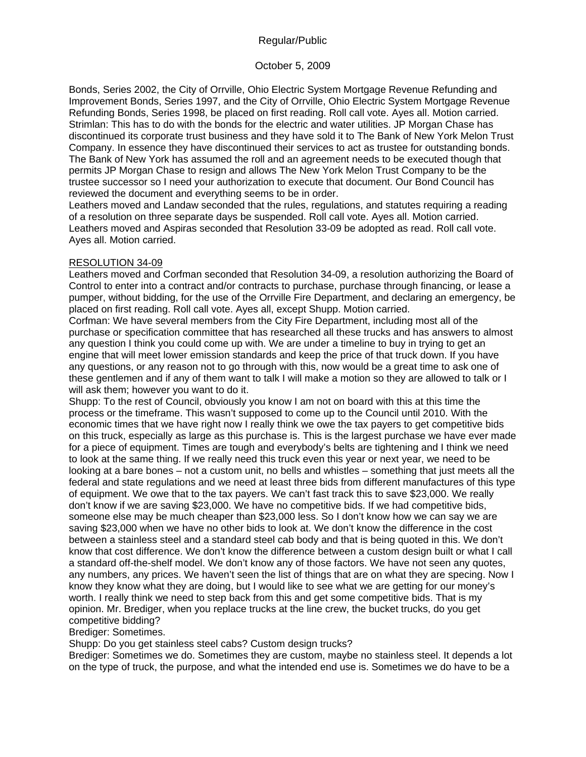## October 5, 2009

Bonds, Series 2002, the City of Orrville, Ohio Electric System Mortgage Revenue Refunding and Improvement Bonds, Series 1997, and the City of Orrville, Ohio Electric System Mortgage Revenue Refunding Bonds, Series 1998, be placed on first reading. Roll call vote. Ayes all. Motion carried. Strimlan: This has to do with the bonds for the electric and water utilities. JP Morgan Chase has discontinued its corporate trust business and they have sold it to The Bank of New York Melon Trust Company. In essence they have discontinued their services to act as trustee for outstanding bonds. The Bank of New York has assumed the roll and an agreement needs to be executed though that permits JP Morgan Chase to resign and allows The New York Melon Trust Company to be the trustee successor so I need your authorization to execute that document. Our Bond Council has reviewed the document and everything seems to be in order.

Leathers moved and Landaw seconded that the rules, regulations, and statutes requiring a reading of a resolution on three separate days be suspended. Roll call vote. Ayes all. Motion carried. Leathers moved and Aspiras seconded that Resolution 33-09 be adopted as read. Roll call vote. Ayes all. Motion carried.

### RESOLUTION 34-09

Leathers moved and Corfman seconded that Resolution 34-09, a resolution authorizing the Board of Control to enter into a contract and/or contracts to purchase, purchase through financing, or lease a pumper, without bidding, for the use of the Orrville Fire Department, and declaring an emergency, be placed on first reading. Roll call vote. Ayes all, except Shupp. Motion carried.

Corfman: We have several members from the City Fire Department, including most all of the purchase or specification committee that has researched all these trucks and has answers to almost any question I think you could come up with. We are under a timeline to buy in trying to get an engine that will meet lower emission standards and keep the price of that truck down. If you have any questions, or any reason not to go through with this, now would be a great time to ask one of these gentlemen and if any of them want to talk I will make a motion so they are allowed to talk or I will ask them; however you want to do it.

Shupp: To the rest of Council, obviously you know I am not on board with this at this time the process or the timeframe. This wasn't supposed to come up to the Council until 2010. With the economic times that we have right now I really think we owe the tax payers to get competitive bids on this truck, especially as large as this purchase is. This is the largest purchase we have ever made for a piece of equipment. Times are tough and everybody's belts are tightening and I think we need to look at the same thing. If we really need this truck even this year or next year, we need to be looking at a bare bones – not a custom unit, no bells and whistles – something that just meets all the federal and state regulations and we need at least three bids from different manufactures of this type of equipment. We owe that to the tax payers. We can't fast track this to save \$23,000. We really don't know if we are saving \$23,000. We have no competitive bids. If we had competitive bids, someone else may be much cheaper than \$23,000 less. So I don't know how we can say we are saving \$23,000 when we have no other bids to look at. We don't know the difference in the cost between a stainless steel and a standard steel cab body and that is being quoted in this. We don't know that cost difference. We don't know the difference between a custom design built or what I call a standard off-the-shelf model. We don't know any of those factors. We have not seen any quotes, any numbers, any prices. We haven't seen the list of things that are on what they are specing. Now I know they know what they are doing, but I would like to see what we are getting for our money's worth. I really think we need to step back from this and get some competitive bids. That is my opinion. Mr. Brediger, when you replace trucks at the line crew, the bucket trucks, do you get competitive bidding?

#### Brediger: Sometimes.

Shupp: Do you get stainless steel cabs? Custom design trucks?

Brediger: Sometimes we do. Sometimes they are custom, maybe no stainless steel. It depends a lot on the type of truck, the purpose, and what the intended end use is. Sometimes we do have to be a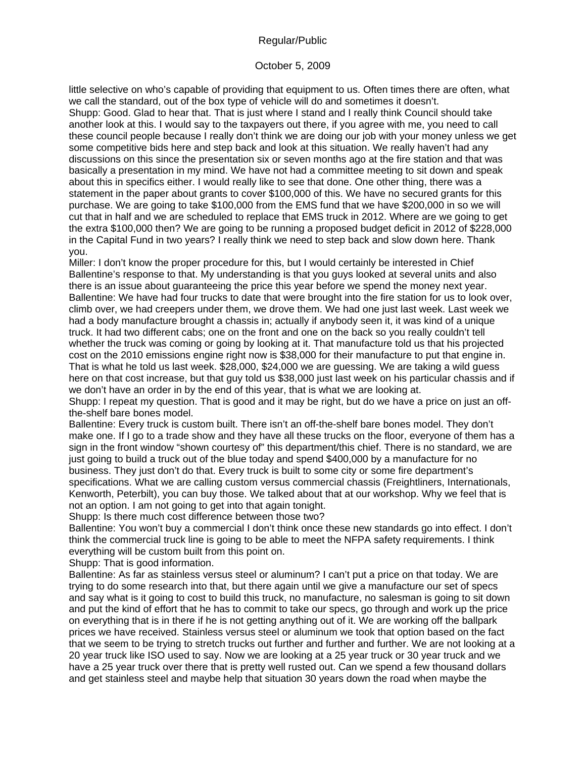### October 5, 2009

little selective on who's capable of providing that equipment to us. Often times there are often, what we call the standard, out of the box type of vehicle will do and sometimes it doesn't. Shupp: Good. Glad to hear that. That is just where I stand and I really think Council should take another look at this. I would say to the taxpayers out there, if you agree with me, you need to call these council people because I really don't think we are doing our job with your money unless we get some competitive bids here and step back and look at this situation. We really haven't had any discussions on this since the presentation six or seven months ago at the fire station and that was basically a presentation in my mind. We have not had a committee meeting to sit down and speak about this in specifics either. I would really like to see that done. One other thing, there was a statement in the paper about grants to cover \$100,000 of this. We have no secured grants for this purchase. We are going to take \$100,000 from the EMS fund that we have \$200,000 in so we will cut that in half and we are scheduled to replace that EMS truck in 2012. Where are we going to get the extra \$100,000 then? We are going to be running a proposed budget deficit in 2012 of \$228,000 in the Capital Fund in two years? I really think we need to step back and slow down here. Thank you.

Miller: I don't know the proper procedure for this, but I would certainly be interested in Chief Ballentine's response to that. My understanding is that you guys looked at several units and also there is an issue about guaranteeing the price this year before we spend the money next year. Ballentine: We have had four trucks to date that were brought into the fire station for us to look over, climb over, we had creepers under them, we drove them. We had one just last week. Last week we had a body manufacture brought a chassis in; actually if anybody seen it, it was kind of a unique truck. It had two different cabs; one on the front and one on the back so you really couldn't tell whether the truck was coming or going by looking at it. That manufacture told us that his projected cost on the 2010 emissions engine right now is \$38,000 for their manufacture to put that engine in. That is what he told us last week. \$28,000, \$24,000 we are guessing. We are taking a wild guess here on that cost increase, but that guy told us \$38,000 just last week on his particular chassis and if we don't have an order in by the end of this year, that is what we are looking at.

Shupp: I repeat my question. That is good and it may be right, but do we have a price on just an offthe-shelf bare bones model.

Ballentine: Every truck is custom built. There isn't an off-the-shelf bare bones model. They don't make one. If I go to a trade show and they have all these trucks on the floor, everyone of them has a sign in the front window "shown courtesy of" this department/this chief. There is no standard, we are just going to build a truck out of the blue today and spend \$400,000 by a manufacture for no business. They just don't do that. Every truck is built to some city or some fire department's specifications. What we are calling custom versus commercial chassis (Freightliners, Internationals, Kenworth, Peterbilt), you can buy those. We talked about that at our workshop. Why we feel that is not an option. I am not going to get into that again tonight.

Shupp: Is there much cost difference between those two?

Ballentine: You won't buy a commercial I don't think once these new standards go into effect. I don't think the commercial truck line is going to be able to meet the NFPA safety requirements. I think everything will be custom built from this point on.

Shupp: That is good information.

Ballentine: As far as stainless versus steel or aluminum? I can't put a price on that today. We are trying to do some research into that, but there again until we give a manufacture our set of specs and say what is it going to cost to build this truck, no manufacture, no salesman is going to sit down and put the kind of effort that he has to commit to take our specs, go through and work up the price on everything that is in there if he is not getting anything out of it. We are working off the ballpark prices we have received. Stainless versus steel or aluminum we took that option based on the fact that we seem to be trying to stretch trucks out further and further and further. We are not looking at a 20 year truck like ISO used to say. Now we are looking at a 25 year truck or 30 year truck and we have a 25 year truck over there that is pretty well rusted out. Can we spend a few thousand dollars and get stainless steel and maybe help that situation 30 years down the road when maybe the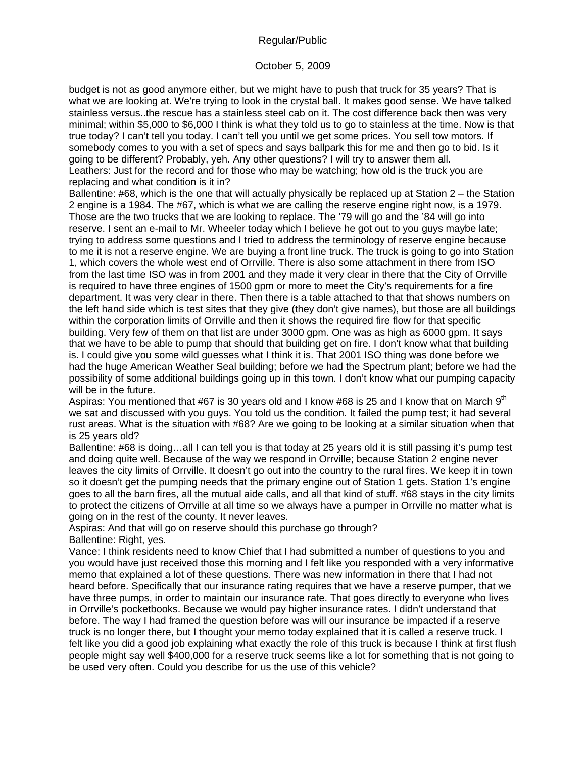### October 5, 2009

budget is not as good anymore either, but we might have to push that truck for 35 years? That is what we are looking at. We're trying to look in the crystal ball. It makes good sense. We have talked stainless versus..the rescue has a stainless steel cab on it. The cost difference back then was very minimal; within \$5,000 to \$6,000 I think is what they told us to go to stainless at the time. Now is that true today? I can't tell you today. I can't tell you until we get some prices. You sell tow motors. If somebody comes to you with a set of specs and says ballpark this for me and then go to bid. Is it going to be different? Probably, yeh. Any other questions? I will try to answer them all. Leathers: Just for the record and for those who may be watching; how old is the truck you are replacing and what condition is it in?

Ballentine: #68, which is the one that will actually physically be replaced up at Station 2 – the Station 2 engine is a 1984. The #67, which is what we are calling the reserve engine right now, is a 1979. Those are the two trucks that we are looking to replace. The '79 will go and the '84 will go into reserve. I sent an e-mail to Mr. Wheeler today which I believe he got out to you guys maybe late; trying to address some questions and I tried to address the terminology of reserve engine because to me it is not a reserve engine. We are buying a front line truck. The truck is going to go into Station 1, which covers the whole west end of Orrville. There is also some attachment in there from ISO from the last time ISO was in from 2001 and they made it very clear in there that the City of Orrville is required to have three engines of 1500 gpm or more to meet the City's requirements for a fire department. It was very clear in there. Then there is a table attached to that that shows numbers on the left hand side which is test sites that they give (they don't give names), but those are all buildings within the corporation limits of Orrville and then it shows the required fire flow for that specific building. Very few of them on that list are under 3000 gpm. One was as high as 6000 gpm. It says that we have to be able to pump that should that building get on fire. I don't know what that building is. I could give you some wild guesses what I think it is. That 2001 ISO thing was done before we had the huge American Weather Seal building; before we had the Spectrum plant; before we had the possibility of some additional buildings going up in this town. I don't know what our pumping capacity will be in the future.

Aspiras: You mentioned that #67 is 30 years old and I know #68 is 25 and I know that on March  $9<sup>th</sup>$ we sat and discussed with you guys. You told us the condition. It failed the pump test; it had several rust areas. What is the situation with #68? Are we going to be looking at a similar situation when that is 25 years old?

Ballentine: #68 is doing…all I can tell you is that today at 25 years old it is still passing it's pump test and doing quite well. Because of the way we respond in Orrville; because Station 2 engine never leaves the city limits of Orrville. It doesn't go out into the country to the rural fires. We keep it in town so it doesn't get the pumping needs that the primary engine out of Station 1 gets. Station 1's engine goes to all the barn fires, all the mutual aide calls, and all that kind of stuff. #68 stays in the city limits to protect the citizens of Orrville at all time so we always have a pumper in Orrville no matter what is going on in the rest of the county. It never leaves.

Aspiras: And that will go on reserve should this purchase go through? Ballentine: Right, yes.

Vance: I think residents need to know Chief that I had submitted a number of questions to you and you would have just received those this morning and I felt like you responded with a very informative memo that explained a lot of these questions. There was new information in there that I had not heard before. Specifically that our insurance rating requires that we have a reserve pumper, that we have three pumps, in order to maintain our insurance rate. That goes directly to everyone who lives in Orrville's pocketbooks. Because we would pay higher insurance rates. I didn't understand that before. The way I had framed the question before was will our insurance be impacted if a reserve truck is no longer there, but I thought your memo today explained that it is called a reserve truck. I felt like you did a good job explaining what exactly the role of this truck is because I think at first flush people might say well \$400,000 for a reserve truck seems like a lot for something that is not going to be used very often. Could you describe for us the use of this vehicle?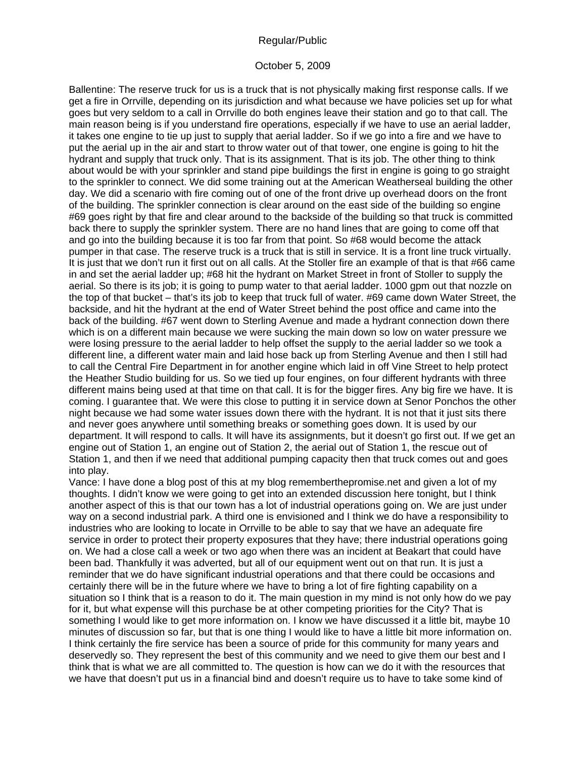#### October 5, 2009

Ballentine: The reserve truck for us is a truck that is not physically making first response calls. If we get a fire in Orrville, depending on its jurisdiction and what because we have policies set up for what goes but very seldom to a call in Orrville do both engines leave their station and go to that call. The main reason being is if you understand fire operations, especially if we have to use an aerial ladder, it takes one engine to tie up just to supply that aerial ladder. So if we go into a fire and we have to put the aerial up in the air and start to throw water out of that tower, one engine is going to hit the hydrant and supply that truck only. That is its assignment. That is its job. The other thing to think about would be with your sprinkler and stand pipe buildings the first in engine is going to go straight to the sprinkler to connect. We did some training out at the American Weatherseal building the other day. We did a scenario with fire coming out of one of the front drive up overhead doors on the front of the building. The sprinkler connection is clear around on the east side of the building so engine #69 goes right by that fire and clear around to the backside of the building so that truck is committed back there to supply the sprinkler system. There are no hand lines that are going to come off that and go into the building because it is too far from that point. So #68 would become the attack pumper in that case. The reserve truck is a truck that is still in service. It is a front line truck virtually. It is just that we don't run it first out on all calls. At the Stoller fire an example of that is that #66 came in and set the aerial ladder up; #68 hit the hydrant on Market Street in front of Stoller to supply the aerial. So there is its job; it is going to pump water to that aerial ladder. 1000 gpm out that nozzle on the top of that bucket – that's its job to keep that truck full of water. #69 came down Water Street, the backside, and hit the hydrant at the end of Water Street behind the post office and came into the back of the building. #67 went down to Sterling Avenue and made a hydrant connection down there which is on a different main because we were sucking the main down so low on water pressure we were losing pressure to the aerial ladder to help offset the supply to the aerial ladder so we took a different line, a different water main and laid hose back up from Sterling Avenue and then I still had to call the Central Fire Department in for another engine which laid in off Vine Street to help protect the Heather Studio building for us. So we tied up four engines, on four different hydrants with three different mains being used at that time on that call. It is for the bigger fires. Any big fire we have. It is coming. I guarantee that. We were this close to putting it in service down at Senor Ponchos the other night because we had some water issues down there with the hydrant. It is not that it just sits there and never goes anywhere until something breaks or something goes down. It is used by our department. It will respond to calls. It will have its assignments, but it doesn't go first out. If we get an engine out of Station 1, an engine out of Station 2, the aerial out of Station 1, the rescue out of Station 1, and then if we need that additional pumping capacity then that truck comes out and goes into play.

Vance: I have done a blog post of this at my blog rememberthepromise.net and given a lot of my thoughts. I didn't know we were going to get into an extended discussion here tonight, but I think another aspect of this is that our town has a lot of industrial operations going on. We are just under way on a second industrial park. A third one is envisioned and I think we do have a responsibility to industries who are looking to locate in Orrville to be able to say that we have an adequate fire service in order to protect their property exposures that they have; there industrial operations going on. We had a close call a week or two ago when there was an incident at Beakart that could have been bad. Thankfully it was adverted, but all of our equipment went out on that run. It is just a reminder that we do have significant industrial operations and that there could be occasions and certainly there will be in the future where we have to bring a lot of fire fighting capability on a situation so I think that is a reason to do it. The main question in my mind is not only how do we pay for it, but what expense will this purchase be at other competing priorities for the City? That is something I would like to get more information on. I know we have discussed it a little bit, maybe 10 minutes of discussion so far, but that is one thing I would like to have a little bit more information on. I think certainly the fire service has been a source of pride for this community for many years and deservedly so. They represent the best of this community and we need to give them our best and I think that is what we are all committed to. The question is how can we do it with the resources that we have that doesn't put us in a financial bind and doesn't require us to have to take some kind of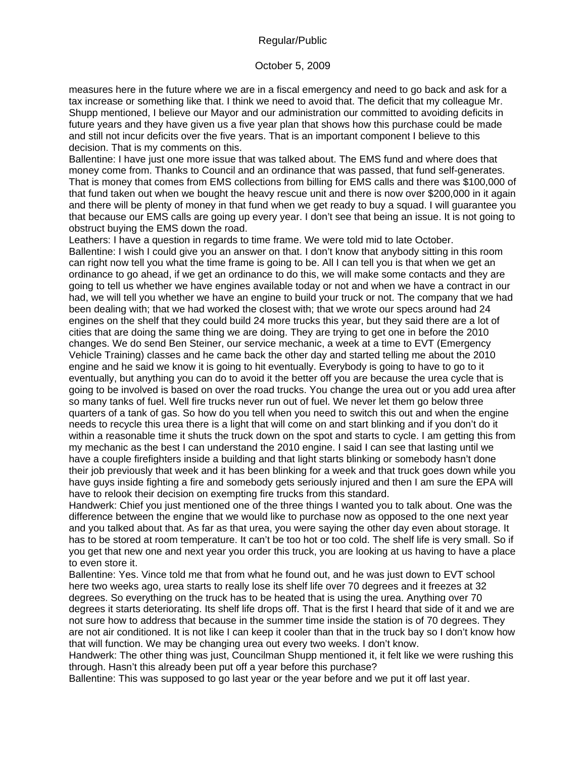### October 5, 2009

measures here in the future where we are in a fiscal emergency and need to go back and ask for a tax increase or something like that. I think we need to avoid that. The deficit that my colleague Mr. Shupp mentioned, I believe our Mayor and our administration our committed to avoiding deficits in future years and they have given us a five year plan that shows how this purchase could be made and still not incur deficits over the five years. That is an important component I believe to this decision. That is my comments on this.

Ballentine: I have just one more issue that was talked about. The EMS fund and where does that money come from. Thanks to Council and an ordinance that was passed, that fund self-generates. That is money that comes from EMS collections from billing for EMS calls and there was \$100,000 of that fund taken out when we bought the heavy rescue unit and there is now over \$200,000 in it again and there will be plenty of money in that fund when we get ready to buy a squad. I will guarantee you that because our EMS calls are going up every year. I don't see that being an issue. It is not going to obstruct buying the EMS down the road.

Leathers: I have a question in regards to time frame. We were told mid to late October. Ballentine: I wish I could give you an answer on that. I don't know that anybody sitting in this room can right now tell you what the time frame is going to be. All I can tell you is that when we get an ordinance to go ahead, if we get an ordinance to do this, we will make some contacts and they are going to tell us whether we have engines available today or not and when we have a contract in our had, we will tell you whether we have an engine to build your truck or not. The company that we had been dealing with; that we had worked the closest with; that we wrote our specs around had 24 engines on the shelf that they could build 24 more trucks this year, but they said there are a lot of cities that are doing the same thing we are doing. They are trying to get one in before the 2010 changes. We do send Ben Steiner, our service mechanic, a week at a time to EVT (Emergency Vehicle Training) classes and he came back the other day and started telling me about the 2010 engine and he said we know it is going to hit eventually. Everybody is going to have to go to it eventually, but anything you can do to avoid it the better off you are because the urea cycle that is going to be involved is based on over the road trucks. You change the urea out or you add urea after so many tanks of fuel. Well fire trucks never run out of fuel. We never let them go below three quarters of a tank of gas. So how do you tell when you need to switch this out and when the engine needs to recycle this urea there is a light that will come on and start blinking and if you don't do it within a reasonable time it shuts the truck down on the spot and starts to cycle. I am getting this from my mechanic as the best I can understand the 2010 engine. I said I can see that lasting until we have a couple firefighters inside a building and that light starts blinking or somebody hasn't done their job previously that week and it has been blinking for a week and that truck goes down while you have guys inside fighting a fire and somebody gets seriously injured and then I am sure the EPA will have to relook their decision on exempting fire trucks from this standard.

Handwerk: Chief you just mentioned one of the three things I wanted you to talk about. One was the difference between the engine that we would like to purchase now as opposed to the one next year and you talked about that. As far as that urea, you were saying the other day even about storage. It has to be stored at room temperature. It can't be too hot or too cold. The shelf life is very small. So if you get that new one and next year you order this truck, you are looking at us having to have a place to even store it.

Ballentine: Yes. Vince told me that from what he found out, and he was just down to EVT school here two weeks ago, urea starts to really lose its shelf life over 70 degrees and it freezes at 32 degrees. So everything on the truck has to be heated that is using the urea. Anything over 70 degrees it starts deteriorating. Its shelf life drops off. That is the first I heard that side of it and we are not sure how to address that because in the summer time inside the station is of 70 degrees. They are not air conditioned. It is not like I can keep it cooler than that in the truck bay so I don't know how that will function. We may be changing urea out every two weeks. I don't know.

Handwerk: The other thing was just, Councilman Shupp mentioned it, it felt like we were rushing this through. Hasn't this already been put off a year before this purchase?

Ballentine: This was supposed to go last year or the year before and we put it off last year.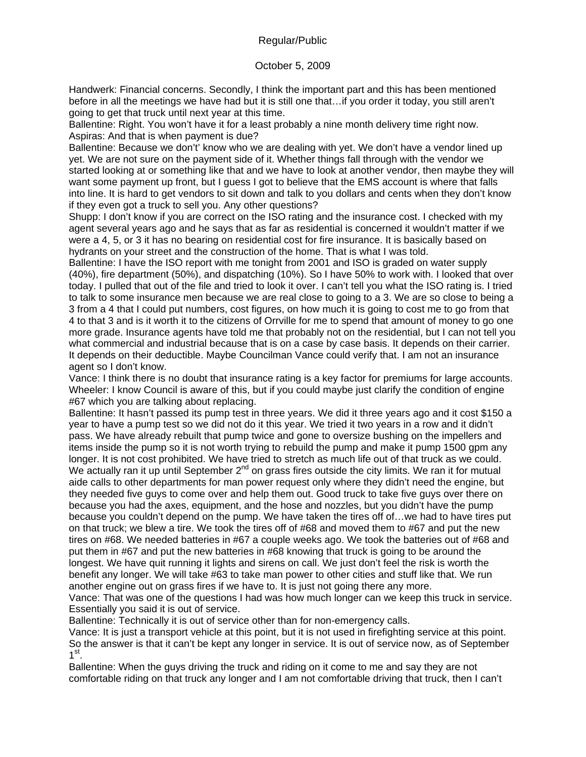### October 5, 2009

Handwerk: Financial concerns. Secondly, I think the important part and this has been mentioned before in all the meetings we have had but it is still one that…if you order it today, you still aren't going to get that truck until next year at this time.

Ballentine: Right. You won't have it for a least probably a nine month delivery time right now. Aspiras: And that is when payment is due?

Ballentine: Because we don't' know who we are dealing with yet. We don't have a vendor lined up yet. We are not sure on the payment side of it. Whether things fall through with the vendor we started looking at or something like that and we have to look at another vendor, then maybe they will want some payment up front, but I guess I got to believe that the EMS account is where that falls into line. It is hard to get vendors to sit down and talk to you dollars and cents when they don't know if they even got a truck to sell you. Any other questions?

Shupp: I don't know if you are correct on the ISO rating and the insurance cost. I checked with my agent several years ago and he says that as far as residential is concerned it wouldn't matter if we were a 4, 5, or 3 it has no bearing on residential cost for fire insurance. It is basically based on hydrants on your street and the construction of the home. That is what I was told.

Ballentine: I have the ISO report with me tonight from 2001 and ISO is graded on water supply (40%), fire department (50%), and dispatching (10%). So I have 50% to work with. I looked that over today. I pulled that out of the file and tried to look it over. I can't tell you what the ISO rating is. I tried to talk to some insurance men because we are real close to going to a 3. We are so close to being a 3 from a 4 that I could put numbers, cost figures, on how much it is going to cost me to go from that 4 to that 3 and is it worth it to the citizens of Orrville for me to spend that amount of money to go one more grade. Insurance agents have told me that probably not on the residential, but I can not tell you what commercial and industrial because that is on a case by case basis. It depends on their carrier. It depends on their deductible. Maybe Councilman Vance could verify that. I am not an insurance agent so I don't know.

Vance: I think there is no doubt that insurance rating is a key factor for premiums for large accounts. Wheeler: I know Council is aware of this, but if you could maybe just clarify the condition of engine #67 which you are talking about replacing.

Ballentine: It hasn't passed its pump test in three years. We did it three years ago and it cost \$150 a year to have a pump test so we did not do it this year. We tried it two years in a row and it didn't pass. We have already rebuilt that pump twice and gone to oversize bushing on the impellers and items inside the pump so it is not worth trying to rebuild the pump and make it pump 1500 gpm any longer. It is not cost prohibited. We have tried to stretch as much life out of that truck as we could. We actually ran it up until September  $2^{nd}$  on grass fires outside the city limits. We ran it for mutual aide calls to other departments for man power request only where they didn't need the engine, but they needed five guys to come over and help them out. Good truck to take five guys over there on because you had the axes, equipment, and the hose and nozzles, but you didn't have the pump because you couldn't depend on the pump. We have taken the tires off of…we had to have tires put on that truck; we blew a tire. We took the tires off of #68 and moved them to #67 and put the new tires on #68. We needed batteries in #67 a couple weeks ago. We took the batteries out of #68 and put them in #67 and put the new batteries in #68 knowing that truck is going to be around the longest. We have quit running it lights and sirens on call. We just don't feel the risk is worth the benefit any longer. We will take #63 to take man power to other cities and stuff like that. We run another engine out on grass fires if we have to. It is just not going there any more.

Vance: That was one of the questions I had was how much longer can we keep this truck in service. Essentially you said it is out of service.

Ballentine: Technically it is out of service other than for non-emergency calls.

Vance: It is just a transport vehicle at this point, but it is not used in firefighting service at this point. So the answer is that it can't be kept any longer in service. It is out of service now, as of September  $1<sup>st</sup>$ .

Ballentine: When the guys driving the truck and riding on it come to me and say they are not comfortable riding on that truck any longer and I am not comfortable driving that truck, then I can't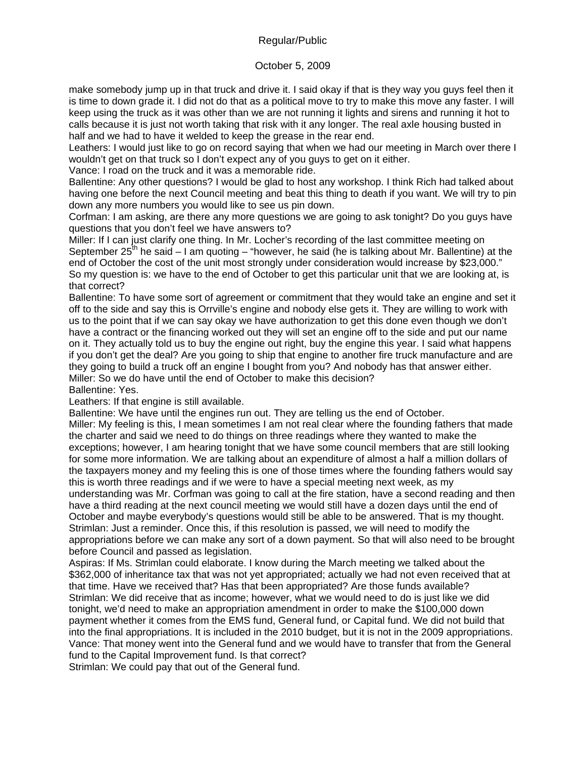# October 5, 2009

make somebody jump up in that truck and drive it. I said okay if that is they way you guys feel then it is time to down grade it. I did not do that as a political move to try to make this move any faster. I will keep using the truck as it was other than we are not running it lights and sirens and running it hot to calls because it is just not worth taking that risk with it any longer. The real axle housing busted in half and we had to have it welded to keep the grease in the rear end.

Leathers: I would just like to go on record saying that when we had our meeting in March over there I wouldn't get on that truck so I don't expect any of you guys to get on it either.

Vance: I road on the truck and it was a memorable ride.

Ballentine: Any other questions? I would be glad to host any workshop. I think Rich had talked about having one before the next Council meeting and beat this thing to death if you want. We will try to pin down any more numbers you would like to see us pin down.

Corfman: I am asking, are there any more questions we are going to ask tonight? Do you guys have questions that you don't feel we have answers to?

Miller: If I can just clarify one thing. In Mr. Locher's recording of the last committee meeting on September  $25<sup>th</sup>$  he said – I am quoting – "however, he said (he is talking about Mr. Ballentine) at the end of October the cost of the unit most strongly under consideration would increase by \$23,000." So my question is: we have to the end of October to get this particular unit that we are looking at, is that correct?

Ballentine: To have some sort of agreement or commitment that they would take an engine and set it off to the side and say this is Orrville's engine and nobody else gets it. They are willing to work with us to the point that if we can say okay we have authorization to get this done even though we don't have a contract or the financing worked out they will set an engine off to the side and put our name on it. They actually told us to buy the engine out right, buy the engine this year. I said what happens if you don't get the deal? Are you going to ship that engine to another fire truck manufacture and are they going to build a truck off an engine I bought from you? And nobody has that answer either. Miller: So we do have until the end of October to make this decision? Ballentine: Yes.

Leathers: If that engine is still available.

Ballentine: We have until the engines run out. They are telling us the end of October.

Miller: My feeling is this, I mean sometimes I am not real clear where the founding fathers that made the charter and said we need to do things on three readings where they wanted to make the exceptions; however, I am hearing tonight that we have some council members that are still looking for some more information. We are talking about an expenditure of almost a half a million dollars of the taxpayers money and my feeling this is one of those times where the founding fathers would say this is worth three readings and if we were to have a special meeting next week, as my

understanding was Mr. Corfman was going to call at the fire station, have a second reading and then have a third reading at the next council meeting we would still have a dozen days until the end of October and maybe everybody's questions would still be able to be answered. That is my thought. Strimlan: Just a reminder. Once this, if this resolution is passed, we will need to modify the appropriations before we can make any sort of a down payment. So that will also need to be brought before Council and passed as legislation.

Aspiras: If Ms. Strimlan could elaborate. I know during the March meeting we talked about the \$362,000 of inheritance tax that was not yet appropriated; actually we had not even received that at that time. Have we received that? Has that been appropriated? Are those funds available? Strimlan: We did receive that as income; however, what we would need to do is just like we did tonight, we'd need to make an appropriation amendment in order to make the \$100,000 down payment whether it comes from the EMS fund, General fund, or Capital fund. We did not build that into the final appropriations. It is included in the 2010 budget, but it is not in the 2009 appropriations. Vance: That money went into the General fund and we would have to transfer that from the General fund to the Capital Improvement fund. Is that correct?

Strimlan: We could pay that out of the General fund.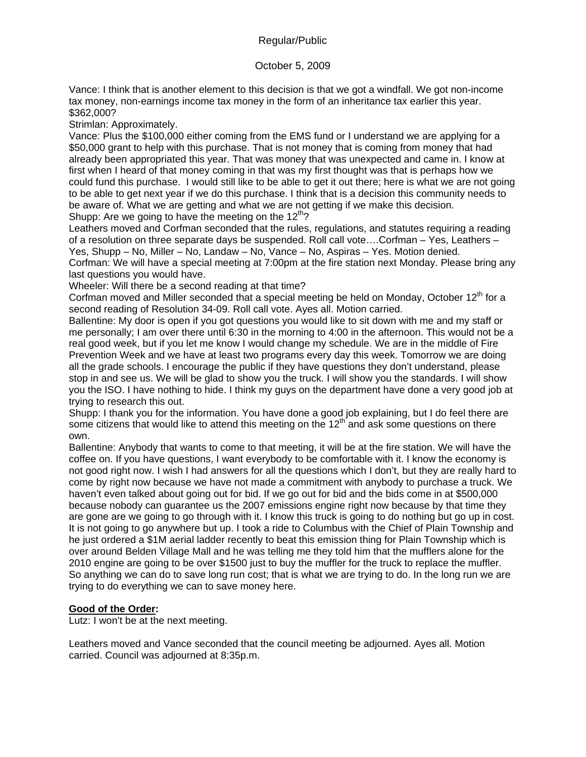# October 5, 2009

Vance: I think that is another element to this decision is that we got a windfall. We got non-income tax money, non-earnings income tax money in the form of an inheritance tax earlier this year. \$362,000?

Strimlan: Approximately.

Vance: Plus the \$100,000 either coming from the EMS fund or I understand we are applying for a \$50,000 grant to help with this purchase. That is not money that is coming from money that had already been appropriated this year. That was money that was unexpected and came in. I know at first when I heard of that money coming in that was my first thought was that is perhaps how we could fund this purchase. I would still like to be able to get it out there; here is what we are not going to be able to get next year if we do this purchase. I think that is a decision this community needs to be aware of. What we are getting and what we are not getting if we make this decision. Shupp: Are we going to have the meeting on the  $12<sup>th</sup>$ ?

Leathers moved and Corfman seconded that the rules, regulations, and statutes requiring a reading of a resolution on three separate days be suspended. Roll call vote….Corfman – Yes, Leathers – Yes, Shupp – No, Miller – No, Landaw – No, Vance – No, Aspiras – Yes. Motion denied. Corfman: We will have a special meeting at 7:00pm at the fire station next Monday. Please bring any last questions you would have.

Wheeler: Will there be a second reading at that time?

Corfman moved and Miller seconded that a special meeting be held on Monday, October 12<sup>th</sup> for a second reading of Resolution 34-09. Roll call vote. Ayes all. Motion carried.

Ballentine: My door is open if you got questions you would like to sit down with me and my staff or me personally; I am over there until 6:30 in the morning to 4:00 in the afternoon. This would not be a real good week, but if you let me know I would change my schedule. We are in the middle of Fire Prevention Week and we have at least two programs every day this week. Tomorrow we are doing all the grade schools. I encourage the public if they have questions they don't understand, please stop in and see us. We will be glad to show you the truck. I will show you the standards. I will show you the ISO. I have nothing to hide. I think my guys on the department have done a very good job at trying to research this out.

Shupp: I thank you for the information. You have done a good job explaining, but I do feel there are some citizens that would like to attend this meeting on the  $12<sup>th</sup>$  and ask some questions on there own.

Ballentine: Anybody that wants to come to that meeting, it will be at the fire station. We will have the coffee on. If you have questions, I want everybody to be comfortable with it. I know the economy is not good right now. I wish I had answers for all the questions which I don't, but they are really hard to come by right now because we have not made a commitment with anybody to purchase a truck. We haven't even talked about going out for bid. If we go out for bid and the bids come in at \$500,000 because nobody can guarantee us the 2007 emissions engine right now because by that time they are gone are we going to go through with it. I know this truck is going to do nothing but go up in cost. It is not going to go anywhere but up. I took a ride to Columbus with the Chief of Plain Township and he just ordered a \$1M aerial ladder recently to beat this emission thing for Plain Township which is over around Belden Village Mall and he was telling me they told him that the mufflers alone for the 2010 engine are going to be over \$1500 just to buy the muffler for the truck to replace the muffler. So anything we can do to save long run cost; that is what we are trying to do. In the long run we are trying to do everything we can to save money here.

## **Good of the Order:**

Lutz: I won't be at the next meeting.

Leathers moved and Vance seconded that the council meeting be adjourned. Ayes all. Motion carried. Council was adjourned at 8:35p.m.